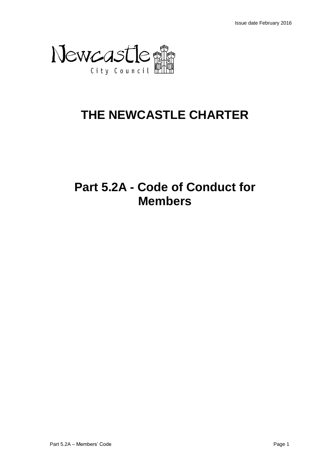

# **THE NEWCASTLE CHARTER**

# **Part 5.2A - Code of Conduct for Members**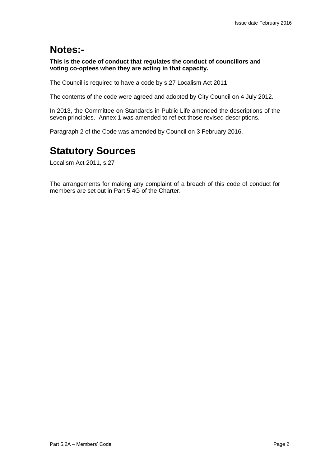# **Notes:-**

**This is the code of conduct that regulates the conduct of councillors and voting co-optees when they are acting in that capacity.**

The Council is required to have a code by s.27 Localism Act 2011.

The contents of the code were agreed and adopted by City Council on 4 July 2012.

In 2013, the Committee on Standards in Public Life amended the descriptions of the seven principles. Annex 1 was amended to reflect those revised descriptions.

Paragraph 2 of the Code was amended by Council on 3 February 2016.

# **Statutory Sources**

Localism Act 2011, s.27

The arrangements for making any complaint of a breach of this code of conduct for members are set out in Part 5.4G of the Charter.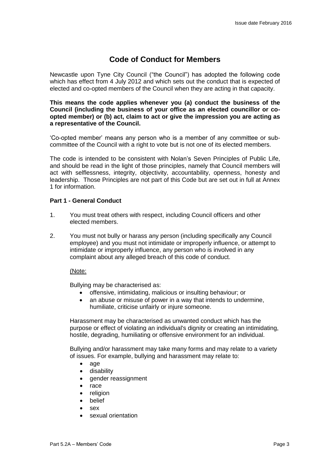# **Code of Conduct for Members**

Newcastle upon Tyne City Council ("the Council") has adopted the following code which has effect from 4 July 2012 and which sets out the conduct that is expected of elected and co-opted members of the Council when they are acting in that capacity.

#### **This means the code applies whenever you (a) conduct the business of the Council (including the business of your office as an elected councillor or coopted member) or (b) act, claim to act or give the impression you are acting as a representative of the Council.**

'Co-opted member' means any person who is a member of any committee or subcommittee of the Council with a right to vote but is not one of its elected members.

The code is intended to be consistent with Nolan's Seven Principles of Public Life, and should be read in the light of those principles, namely that Council members will act with selflessness, integrity, objectivity, accountability, openness, honesty and leadership. Those Principles are not part of this Code but are set out in full at Annex 1 for information.

# **Part 1 - General Conduct**

- 1. You must treat others with respect, including Council officers and other elected members.
- 2. You must not bully or harass any person (including specifically any Council employee) and you must not intimidate or improperly influence, or attempt to intimidate or improperly influence, any person who is involved in any complaint about any alleged breach of this code of conduct.

#### (Note:

Bullying may be characterised as:

- offensive, intimidating, malicious or insulting behaviour; or
- an abuse or misuse of power in a way that intends to undermine. humiliate, criticise unfairly or injure someone.

Harassment may be characterised as unwanted conduct which has the purpose or effect of violating an individual's dignity or creating an intimidating, hostile, degrading, humiliating or offensive environment for an individual.

Bullying and/or harassment may take many forms and may relate to a variety of issues. For example, bullying and harassment may relate to:

- age
- disability
- gender reassignment
- race
- religion
- belief
- sex
- sexual orientation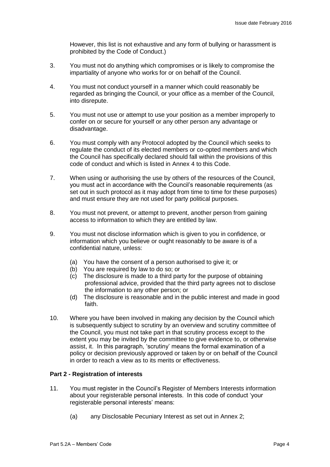However, this list is not exhaustive and any form of bullying or harassment is prohibited by the Code of Conduct.)

- 3. You must not do anything which compromises or is likely to compromise the impartiality of anyone who works for or on behalf of the Council.
- 4. You must not conduct yourself in a manner which could reasonably be regarded as bringing the Council, or your office as a member of the Council, into disrepute.
- 5. You must not use or attempt to use your position as a member improperly to confer on or secure for yourself or any other person any advantage or disadvantage.
- 6. You must comply with any Protocol adopted by the Council which seeks to regulate the conduct of its elected members or co-opted members and which the Council has specifically declared should fall within the provisions of this code of conduct and which is listed in Annex 4 to this Code.
- 7. When using or authorising the use by others of the resources of the Council, you must act in accordance with the Council's reasonable requirements (as set out in such protocol as it may adopt from time to time for these purposes) and must ensure they are not used for party political purposes.
- 8. You must not prevent, or attempt to prevent, another person from gaining access to information to which they are entitled by law.
- 9. You must not disclose information which is given to you in confidence, or information which you believe or ought reasonably to be aware is of a confidential nature, unless:
	- (a) You have the consent of a person authorised to give it; or
	- (b) You are required by law to do so; or
	- (c) The disclosure is made to a third party for the purpose of obtaining professional advice, provided that the third party agrees not to disclose the information to any other person; or
	- (d) The disclosure is reasonable and in the public interest and made in good faith.
- 10. Where you have been involved in making any decision by the Council which is subsequently subject to scrutiny by an overview and scrutiny committee of the Council, you must not take part in that scrutiny process except to the extent you may be invited by the committee to give evidence to, or otherwise assist, it. In this paragraph, 'scrutiny' means the formal examination of a policy or decision previously approved or taken by or on behalf of the Council in order to reach a view as to its merits or effectiveness.

# **Part 2 - Registration of interests**

- 11. You must register in the Council's Register of Members Interests information about your registerable personal interests. In this code of conduct 'your registerable personal interests' means:
	- (a) any Disclosable Pecuniary Interest as set out in Annex 2;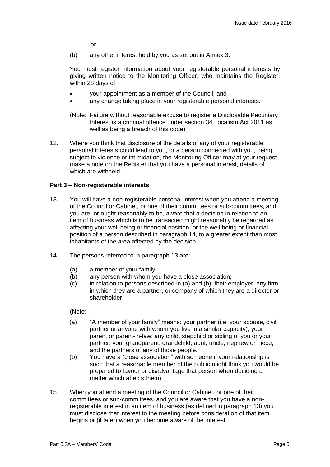or

(b) any other interest held by you as set out in Annex 3.

You must register information about your registerable personal interests by giving written notice to the Monitoring Officer, who maintains the Register, within 28 days of:

- your appointment as a member of the Council; and
- any change taking place in your registerable personal interests.
- (Note: Failure without reasonable excuse to register a Disclosable Pecuniary Interest is a criminal offence under section 34 Localism Act 2011 as well as being a breach of this code)
- 12. Where you think that disclosure of the details of any of your registerable personal interests could lead to you, or a person connected with you, being subject to violence or intimidation, the Monitoring Officer may at your request make a note on the Register that you have a personal interest, details of which are withheld.

#### **Part 3 – Non-registerable interests**

- 13. You will have a non-registerable personal interest when you attend a meeting of the Council or Cabinet, or one of their committees or sub-committees, and you are, or ought reasonably to be, aware that a decision in relation to an item of business which is to be transacted might reasonably be regarded as affecting your well being or financial position, or the well being or financial position of a person described in paragraph 14, to a greater extent than most inhabitants of the area affected by the decision.
- 14. The persons referred to in paragraph 13 are:
	- (a) a member of your family;<br>(b) any person with whom you
	- any person with whom you have a close association:
	- (c) in relation to persons described in (a) and (b), their employer, any firm in which they are a partner, or company of which they are a director or shareholder.

(Note:

- (a) "A member of your family" means: your partner (i.e. your spouse, civil partner or anyone with whom you live in a similar capacity); your parent or parent-in-law; any child, stepchild or sibling of you or your partner; your grandparent, grandchild, aunt, uncle, nephew or niece; and the partners of any of those people.
- (b) You have a "close association" with someone if your relationship is such that a reasonable member of the public might think you would be prepared to favour or disadvantage that person when deciding a matter which affects them).
- 15. When you attend a meeting of the Council or Cabinet, or one of their committees or sub-committees, and you are aware that you have a nonregisterable interest in an item of business (as defined in paragraph 13) you must disclose that interest to the meeting before consideration of that item begins or (if later) when you become aware of the interest.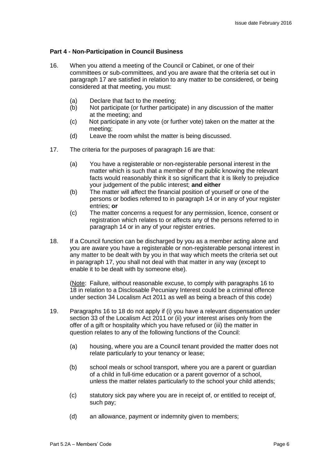### **Part 4 - Non-Participation in Council Business**

- 16. When you attend a meeting of the Council or Cabinet, or one of their committees or sub-committees, and you are aware that the criteria set out in paragraph 17 are satisfied in relation to any matter to be considered, or being considered at that meeting, you must:
	- (a) Declare that fact to the meeting;
	- (b) Not participate (or further participate) in any discussion of the matter at the meeting; and
	- (c) Not participate in any vote (or further vote) taken on the matter at the meeting;
	- (d) Leave the room whilst the matter is being discussed.
- 17. The criteria for the purposes of paragraph 16 are that:
	- (a) You have a registerable or non-registerable personal interest in the matter which is such that a member of the public knowing the relevant facts would reasonably think it so significant that it is likely to prejudice your judgement of the public interest; **and either**
	- (b) The matter will affect the financial position of yourself or one of the persons or bodies referred to in paragraph 14 or in any of your register entries; **or**
	- (c) The matter concerns a request for any permission, licence, consent or registration which relates to or affects any of the persons referred to in paragraph 14 or in any of your register entries.
- 18. If a Council function can be discharged by you as a member acting alone and you are aware you have a registerable or non-registerable personal interest in any matter to be dealt with by you in that way which meets the criteria set out in paragraph 17, you shall not deal with that matter in any way (except to enable it to be dealt with by someone else).

(Note: Failure, without reasonable excuse, to comply with paragraphs 16 to 18 in relation to a Disclosable Pecuniary Interest could be a criminal offence under section 34 Localism Act 2011 as well as being a breach of this code)

- 19. Paragraphs 16 to 18 do not apply if (i) you have a relevant dispensation under section 33 of the Localism Act 2011 or (ii) your interest arises only from the offer of a gift or hospitality which you have refused or (iii) the matter in question relates to any of the following functions of the Council:
	- (a) housing, where you are a Council tenant provided the matter does not relate particularly to your tenancy or lease;
	- (b) school meals or school transport, where you are a parent or guardian of a child in full-time education or a parent governor of a school, unless the matter relates particularly to the school your child attends;
	- (c) statutory sick pay where you are in receipt of, or entitled to receipt of, such pay;
	- (d) an allowance, payment or indemnity given to members;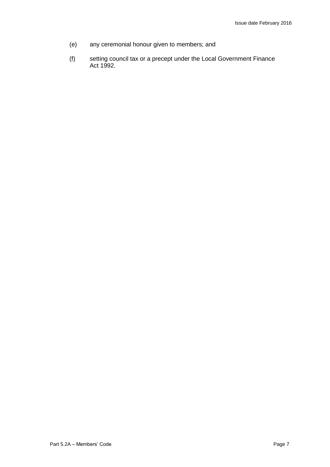- (e) any ceremonial honour given to members; and
- (f) setting council tax or a precept under the Local Government Finance Act 1992.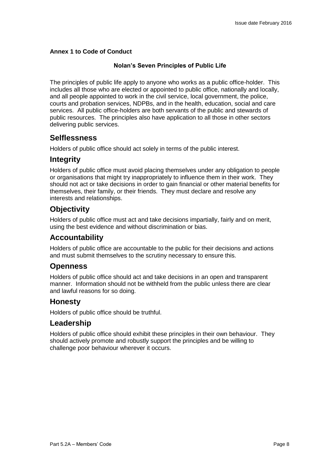## **Annex 1 to Code of Conduct**

### **Nolan's Seven Principles of Public Life**

The principles of public life apply to anyone who works as a public office-holder. This includes all those who are elected or appointed to public office, nationally and locally, and all people appointed to work in the civil service, local government, the police, courts and probation services, NDPBs, and in the health, education, social and care services. All public office-holders are both servants of the public and stewards of public resources. The principles also have application to all those in other sectors delivering public services.

# **Selflessness**

Holders of public office should act solely in terms of the public interest.

# **Integrity**

Holders of public office must avoid placing themselves under any obligation to people or organisations that might try inappropriately to influence them in their work. They should not act or take decisions in order to gain financial or other material benefits for themselves, their family, or their friends. They must declare and resolve any interests and relationships.

# **Objectivity**

Holders of public office must act and take decisions impartially, fairly and on merit, using the best evidence and without discrimination or bias.

# **Accountability**

Holders of public office are accountable to the public for their decisions and actions and must submit themselves to the scrutiny necessary to ensure this.

# **Openness**

Holders of public office should act and take decisions in an open and transparent manner. Information should not be withheld from the public unless there are clear and lawful reasons for so doing.

# **Honesty**

Holders of public office should be truthful.

# **Leadership**

Holders of public office should exhibit these principles in their own behaviour. They should actively promote and robustly support the principles and be willing to challenge poor behaviour wherever it occurs.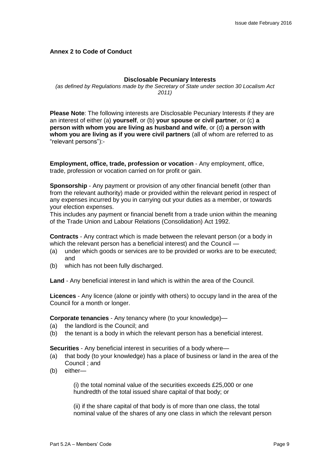## **Annex 2 to Code of Conduct**

#### **Disclosable Pecuniary Interests**

*(as defined by Regulations made by the Secretary of State under section 30 Localism Act 2011)*

**Please Note**: The following interests are Disclosable Pecuniary Interests if they are an interest of either (a) **yourself**, or (b) **your spouse or civil partner**, or (c) **a person with whom you are living as husband and wife**, or (d) **a person with whom you are living as if you were civil partners** (all of whom are referred to as "relevant persons"):-

**Employment, office, trade, profession or vocation** - Any employment, office, trade, profession or vocation carried on for profit or gain.

**Sponsorship** - Any payment or provision of any other financial benefit (other than from the relevant authority) made or provided within the relevant period in respect of any expenses incurred by you in carrying out your duties as a member, or towards your election expenses.

This includes any payment or financial benefit from a trade union within the meaning of the Trade Union and Labour Relations (Consolidation) Act 1992.

**Contracts** - Any contract which is made between the relevant person (or a body in which the relevant person has a beneficial interest) and the Council —

- (a) under which goods or services are to be provided or works are to be executed; and
- (b) which has not been fully discharged.

**Land** - Any beneficial interest in land which is within the area of the Council.

**Licences** - Any licence (alone or jointly with others) to occupy land in the area of the Council for a month or longer.

**Corporate tenancies** - Any tenancy where (to your knowledge)—

- (a) the landlord is the Council; and
- (b) the tenant is a body in which the relevant person has a beneficial interest.

**Securities** - Any beneficial interest in securities of a body where—

- (a) that body (to your knowledge) has a place of business or land in the area of the Council ; and
- (b) either—

(i) the total nominal value of the securities exceeds £25,000 or one hundredth of the total issued share capital of that body; or

(ii) if the share capital of that body is of more than one class, the total nominal value of the shares of any one class in which the relevant person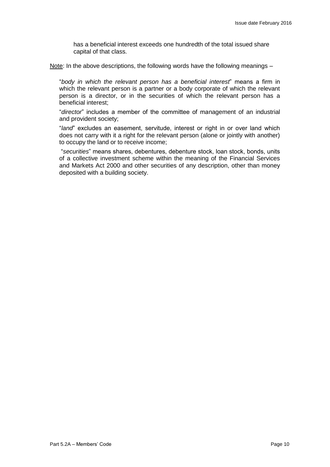has a beneficial interest exceeds one hundredth of the total issued share capital of that class.

Note: In the above descriptions, the following words have the following meanings –

"*body in which the relevant person has a beneficial interest*" means a firm in which the relevant person is a partner or a body corporate of which the relevant person is a director, or in the securities of which the relevant person has a beneficial interest;

"*director*" includes a member of the committee of management of an industrial and provident society;

"*land*" excludes an easement, servitude, interest or right in or over land which does not carry with it a right for the relevant person (alone or jointly with another) to occupy the land or to receive income;

"*securities*" means shares, debentures, debenture stock, loan stock, bonds, units of a collective investment scheme within the meaning of the Financial Services and Markets Act 2000 and other securities of any description, other than money deposited with a building society.